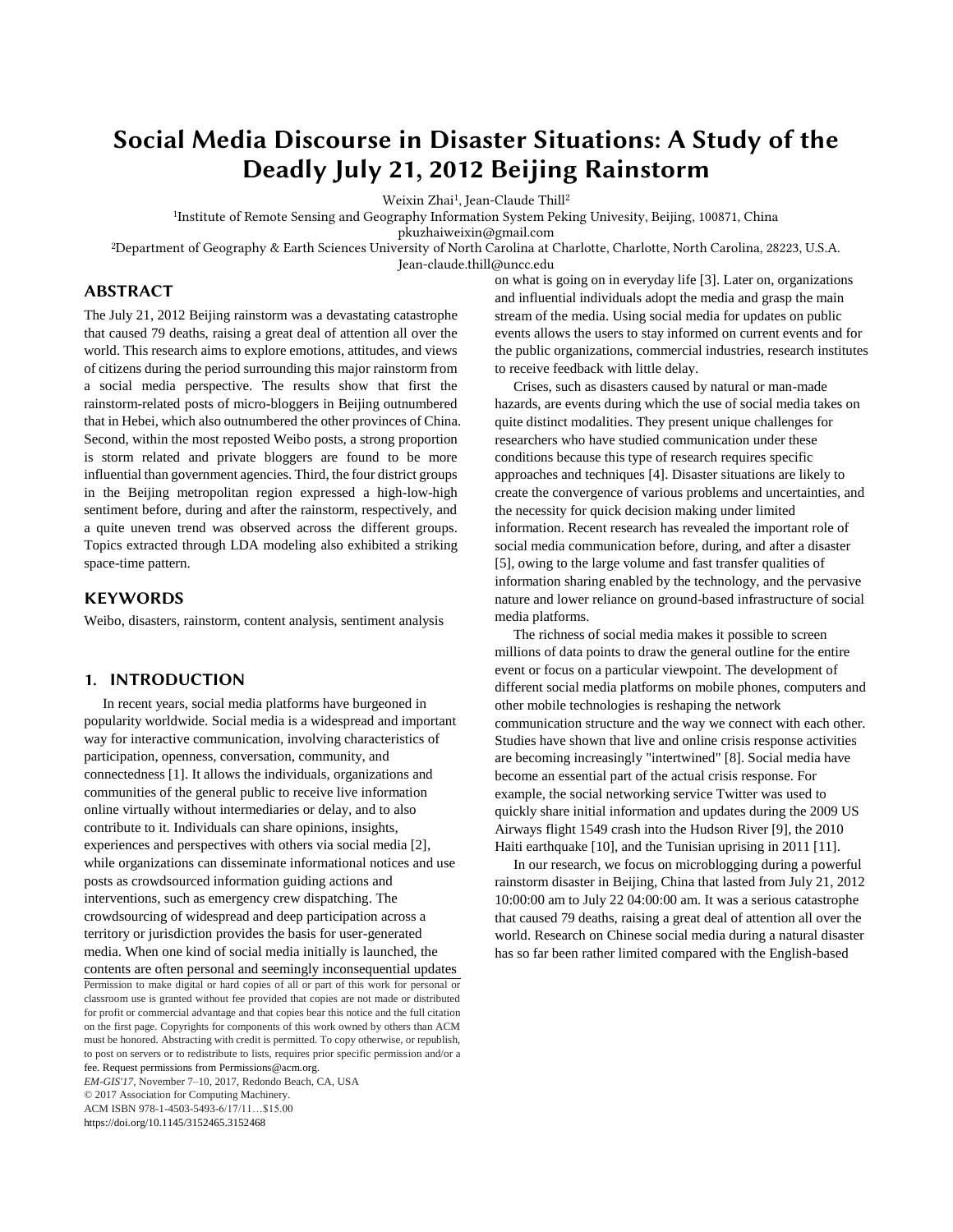# Social Media Discourse in Disaster Situations: A Study of the Deadly July 21, 2012 Beijing Rainstorm

Weixin Zhai<sup>1</sup>, Jean-Claude Thill<sup>2</sup>

<sup>1</sup>Institute of Remote Sensing and Geography Information System Peking Univesity, Beijing, 100871, China

pkuzhaiweixin@gmail.com

<sup>2</sup>Department of Geography & Earth Sciences University of North Carolina at Charlotte, Charlotte, North Carolina, 28223, U.S.A.

Jean-claude.thill@uncc.edu

# ABSTRACT

The July 21, 2012 Beijing rainstorm was a devastating catastrophe that caused 79 deaths, raising a great deal of attention all over the world. This research aims to explore emotions, attitudes, and views of citizens during the period surrounding this major rainstorm from a social media perspective. The results show that first the rainstorm-related posts of micro-bloggers in Beijing outnumbered that in Hebei, which also outnumbered the other provinces of China. Second, within the most reposted Weibo posts, a strong proportion is storm related and private bloggers are found to be more influential than government agencies. Third, the four district groups in the Beijing metropolitan region expressed a high-low-high sentiment before, during and after the rainstorm, respectively, and a quite uneven trend was observed across the different groups. Topics extracted through LDA modeling also exhibited a striking space-time pattern.

## KEYWORDS

Weibo, disasters, rainstorm, content analysis, sentiment analysis

#### 1. INTRODUCTION

Permission to make digital or hard copies of all or part of this work for personal or classroom use is granted without fee provided that copies are not made or distributed for profit or commercial advantage and that copies bear this notice and the full citation on the first page. Copyrights for components of this work owned by others than ACM must be honored. Abstracting with credit is permitted. To copy otherwise, or republish, to post on servers or to redistribute to lists, requires prior specific permission and/or a fee. Request permissions from Permissions@acm.org. *EM-GIS'17,* November 7–10, 2017, Redondo Beach, CA, USA © 2017 Association for Computing Machinery. ACM ISBN 978-1-4503-5493-6/17/11…\$15.00 https://doi.org/10.1145/3152465.3152468 In recent years, social media platforms have burgeoned in popularity worldwide. Social media is a widespread and important way for interactive communication, involving characteristics of participation, openness, conversation, community, and connectedness [1]. It allows the individuals, organizations and communities of the general public to receive live information online virtually without intermediaries or delay, and to also contribute to it. Individuals can share opinions, insights, experiences and perspectives with others via social media [2], while organizations can disseminate informational notices and use posts as crowdsourced information guiding actions and interventions, such as emergency crew dispatching. The crowdsourcing of widespread and deep participation across a territory or jurisdiction provides the basis for user-generated media. When one kind of social media initially is launched, the contents are often personal and seemingly inconsequential updates

on what is going on in everyday life [3]. Later on, organizations and influential individuals adopt the media and grasp the main stream of the media. Using social media for updates on public events allows the users to stay informed on current events and for the public organizations, commercial industries, research institutes to receive feedback with little delay.

Crises, such as disasters caused by natural or man-made hazards, are events during which the use of social media takes on quite distinct modalities. They present unique challenges for researchers who have studied communication under these conditions because this type of research requires specific approaches and techniques [4]. Disaster situations are likely to create the convergence of various problems and uncertainties, and the necessity for quick decision making under limited information. Recent research has revealed the important role of social media communication before, during, and after a disaster [5], owing to the large volume and fast transfer qualities of information sharing enabled by the technology, and the pervasive nature and lower reliance on ground-based infrastructure of social media platforms.

The richness of social media makes it possible to screen millions of data points to draw the general outline for the entire event or focus on a particular viewpoint. The development of different social media platforms on mobile phones, computers and other mobile technologies is reshaping the network communication structure and the way we connect with each other. Studies have shown that live and online crisis response activities are becoming increasingly "intertwined" [8]. Social media have become an essential part of the actual crisis response. For example, the social networking service Twitter was used to quickly share initial information and updates during the 2009 US Airways flight 1549 crash into the Hudson River [9], the 2010 Haiti earthquake [10], and the Tunisian uprising in 2011 [11].

In our research, we focus on microblogging during a powerful rainstorm disaster in Beijing, China that lasted from July 21, 2012 10:00:00 am to July 22 04:00:00 am. It was a serious catastrophe that caused 79 deaths, raising a great deal of attention all over the world. Research on Chinese social media during a natural disaster has so far been rather limited compared with the English-based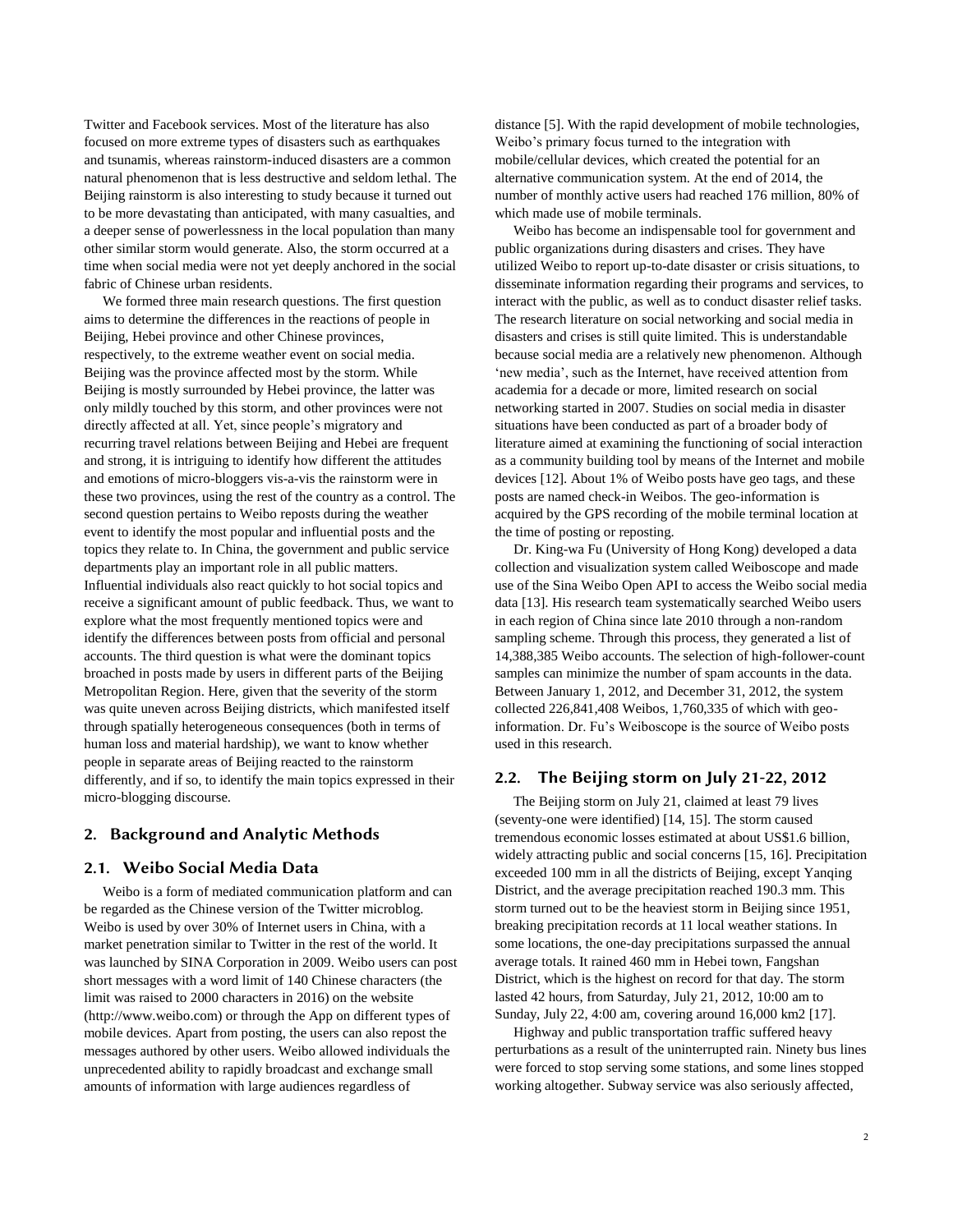Twitter and Facebook services. Most of the literature has also focused on more extreme types of disasters such as earthquakes and tsunamis, whereas rainstorm-induced disasters are a common natural phenomenon that is less destructive and seldom lethal. The Beijing rainstorm is also interesting to study because it turned out to be more devastating than anticipated, with many casualties, and a deeper sense of powerlessness in the local population than many other similar storm would generate. Also, the storm occurred at a time when social media were not yet deeply anchored in the social fabric of Chinese urban residents.

We formed three main research questions. The first question aims to determine the differences in the reactions of people in Beijing, Hebei province and other Chinese provinces, respectively, to the extreme weather event on social media. Beijing was the province affected most by the storm. While Beijing is mostly surrounded by Hebei province, the latter was only mildly touched by this storm, and other provinces were not directly affected at all. Yet, since people's migratory and recurring travel relations between Beijing and Hebei are frequent and strong, it is intriguing to identify how different the attitudes and emotions of micro-bloggers vis-a-vis the rainstorm were in these two provinces, using the rest of the country as a control. The second question pertains to Weibo reposts during the weather event to identify the most popular and influential posts and the topics they relate to. In China, the government and public service departments play an important role in all public matters. Influential individuals also react quickly to hot social topics and receive a significant amount of public feedback. Thus, we want to explore what the most frequently mentioned topics were and identify the differences between posts from official and personal accounts. The third question is what were the dominant topics broached in posts made by users in different parts of the Beijing Metropolitan Region. Here, given that the severity of the storm was quite uneven across Beijing districts, which manifested itself through spatially heterogeneous consequences (both in terms of human loss and material hardship), we want to know whether people in separate areas of Beijing reacted to the rainstorm differently, and if so, to identify the main topics expressed in their micro-blogging discourse.

#### 2. Background and Analytic Methods

#### 2.1. Weibo Social Media Data

Weibo is a form of mediated communication platform and can be regarded as the Chinese version of the Twitter microblog. Weibo is used by over 30% of Internet users in China, with a market penetration similar to Twitter in the rest of the world. It was launched by SINA Corporation in 2009. Weibo users can post short messages with a word limit of 140 Chinese characters (the limit was raised to 2000 characters in 2016) on the website (http://www.weibo.com) or through the App on different types of mobile devices. Apart from posting, the users can also repost the messages authored by other users. Weibo allowed individuals the unprecedented ability to rapidly broadcast and exchange small amounts of information with large audiences regardless of

distance [5]. With the rapid development of mobile technologies, Weibo's primary focus turned to the integration with mobile/cellular devices, which created the potential for an alternative communication system. At the end of 2014, the number of monthly active users had reached 176 million, 80% of which made use of mobile terminals.

Weibo has become an indispensable tool for government and public organizations during disasters and crises. They have utilized Weibo to report up-to-date disaster or crisis situations, to disseminate information regarding their programs and services, to interact with the public, as well as to conduct disaster relief tasks. The research literature on social networking and social media in disasters and crises is still quite limited. This is understandable because social media are a relatively new phenomenon. Although 'new media', such as the Internet, have received attention from academia for a decade or more, limited research on social networking started in 2007. Studies on social media in disaster situations have been conducted as part of a broader body of literature aimed at examining the functioning of social interaction as a community building tool by means of the Internet and mobile devices [12]. About 1% of Weibo posts have geo tags, and these posts are named check-in Weibos. The geo-information is acquired by the GPS recording of the mobile terminal location at the time of posting or reposting.

Dr. King-wa Fu (University of Hong Kong) developed a data collection and visualization system called Weiboscope and made use of the Sina Weibo Open API to access the Weibo social media data [13]. His research team systematically searched Weibo users in each region of China since late 2010 through a non-random sampling scheme. Through this process, they generated a list of 14,388,385 Weibo accounts. The selection of high-follower-count samples can minimize the number of spam accounts in the data. Between January 1, 2012, and December 31, 2012, the system collected 226,841,408 Weibos, 1,760,335 of which with geoinformation. Dr. Fu's Weiboscope is the source of Weibo posts used in this research.

# 2.2. The Beijing storm on July 21-22, 2012

The Beijing storm on July 21, claimed at least 79 lives (seventy-one were identified) [14, 15]. The storm caused tremendous economic losses estimated at about US\$1.6 billion, widely attracting public and social concerns [15, 16]. Precipitation exceeded 100 mm in all the districts of Beijing, except Yanqing District, and the average precipitation reached 190.3 mm. This storm turned out to be the heaviest storm in Beijing since 1951, breaking precipitation records at 11 local weather stations. In some locations, the one-day precipitations surpassed the annual average totals. It rained 460 mm in Hebei town, Fangshan District, which is the highest on record for that day. The storm lasted 42 hours, from Saturday, July 21, 2012, 10:00 am to Sunday, July 22, 4:00 am, covering around 16,000 km2 [17].

Highway and public transportation traffic suffered heavy perturbations as a result of the uninterrupted rain. Ninety bus lines were forced to stop serving some stations, and some lines stopped working altogether. Subway service was also seriously affected,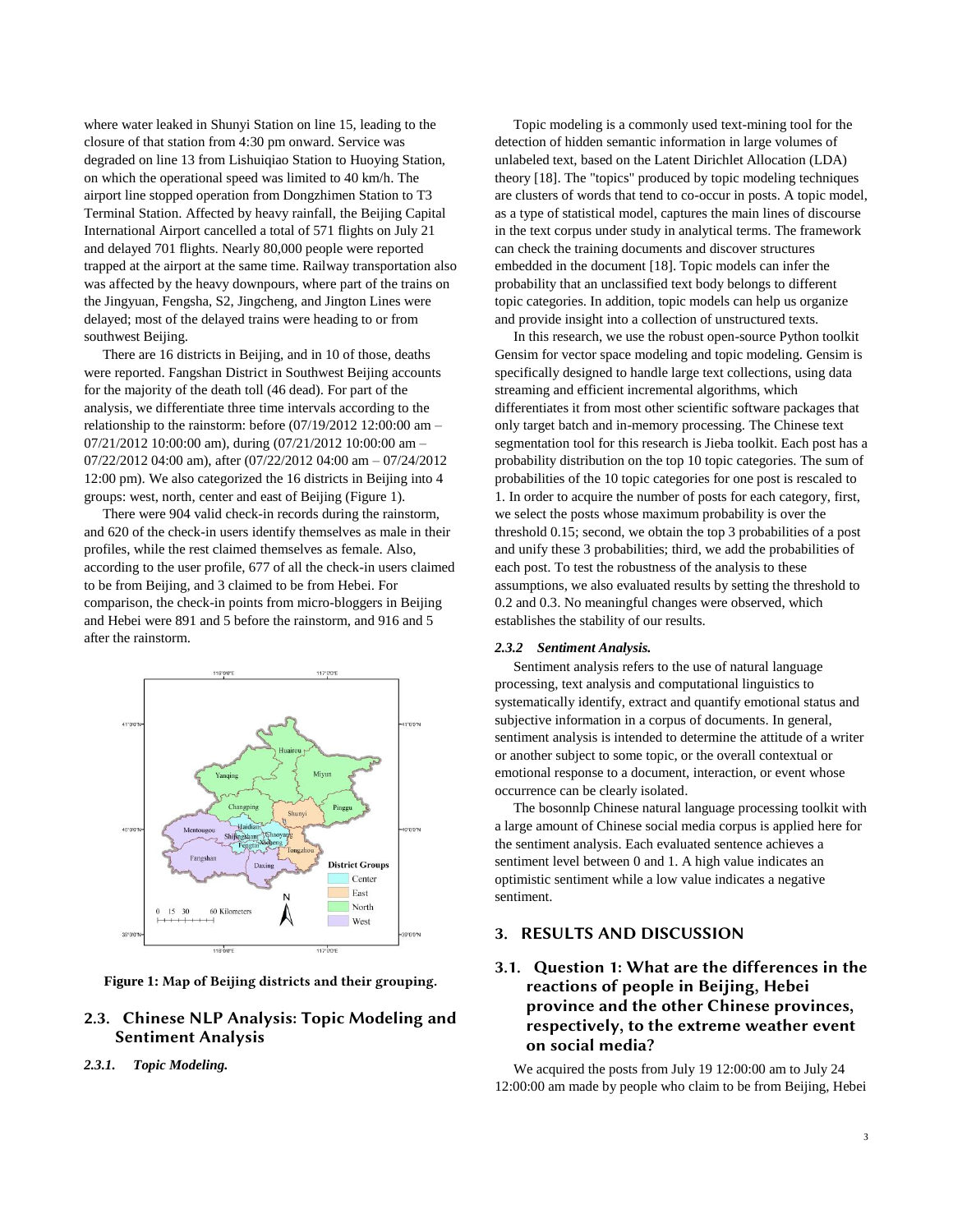where water leaked in Shunyi Station on line 15, leading to the closure of that station from 4:30 pm onward. Service was degraded on line 13 from Lishuiqiao Station to Huoying Station, on which the operational speed was limited to 40 km/h. The airport line stopped operation from Dongzhimen Station to T3 Terminal Station. Affected by heavy rainfall, the Beijing Capital International Airport cancelled a total of 571 flights on July 21 and delayed 701 flights. Nearly 80,000 people were reported trapped at the airport at the same time. Railway transportation also was affected by the heavy downpours, where part of the trains on the Jingyuan, Fengsha, S2, Jingcheng, and Jington Lines were delayed; most of the delayed trains were heading to or from southwest Beijing.

There are 16 districts in Beijing, and in 10 of those, deaths were reported. Fangshan District in Southwest Beijing accounts for the majority of the death toll (46 dead). For part of the analysis, we differentiate three time intervals according to the relationship to the rainstorm: before  $(07/19/2012 12:00:00$  am – 07/21/2012 10:00:00 am), during (07/21/2012 10:00:00 am – 07/22/2012 04:00 am), after (07/22/2012 04:00 am – 07/24/2012 12:00 pm). We also categorized the 16 districts in Beijing into 4 groups: west, north, center and east of Beijing (Figure 1).

There were 904 valid check-in records during the rainstorm, and 620 of the check-in users identify themselves as male in their profiles, while the rest claimed themselves as female. Also, according to the user profile, 677 of all the check-in users claimed to be from Beijing, and 3 claimed to be from Hebei. For comparison, the check-in points from micro-bloggers in Beijing and Hebei were 891 and 5 before the rainstorm, and 916 and 5 after the rainstorm.



**Figure 1:** Map of Beijing districts and their grouping.

# 2.3. Chinese NLP Analysis: Topic Modeling and Sentiment Analysis

*2.3.1. Topic Modeling.* 

Topic modeling is a commonly used text-mining tool for the detection of hidden semantic information in large volumes of unlabeled text, based on the Latent Dirichlet Allocation (LDA) theory [18]. The "topics" produced by topic modeling techniques are clusters of words that tend to co-occur in posts. A topic model, as a type of statistical model, captures the main lines of discourse in the text corpus under study in analytical terms. The framework can check the training documents and discover structures embedded in the document [18]. Topic models can infer the probability that an unclassified text body belongs to different topic categories. In addition, topic models can help us organize and provide insight into a collection of unstructured texts.

In this research, we use the robust open-source Python toolkit Gensim for vector space modeling and topic modeling. Gensim is specifically designed to handle large text collections, using data streaming and efficient incremental algorithms, which differentiates it from most other scientific software packages that only target batch and in-memory processing. The Chinese text segmentation tool for this research is Jieba toolkit. Each post has a probability distribution on the top 10 topic categories. The sum of probabilities of the 10 topic categories for one post is rescaled to 1. In order to acquire the number of posts for each category, first, we select the posts whose maximum probability is over the threshold 0.15; second, we obtain the top 3 probabilities of a post and unify these 3 probabilities; third, we add the probabilities of each post. To test the robustness of the analysis to these assumptions, we also evaluated results by setting the threshold to 0.2 and 0.3. No meaningful changes were observed, which establishes the stability of our results.

#### *2.3.2 Sentiment Analysis.*

Sentiment analysis refers to the use of natural language processing, text analysis and computational linguistics to systematically identify, extract and quantify emotional status and subjective information in a corpus of documents. In general, sentiment analysis is intended to determine the attitude of a writer or another subject to some topic, or the overall contextual or emotional response to a document, interaction, or event whose occurrence can be clearly isolated.

The bosonnlp Chinese natural language processing toolkit with a large amount of Chinese social media corpus is applied here for the sentiment analysis. Each evaluated sentence achieves a sentiment level between 0 and 1. A high value indicates an optimistic sentiment while a low value indicates a negative sentiment.

#### 3. RESULTS AND DISCUSSION

## 3.1. Question 1: What are the differences in the reactions of people in Beijing, Hebei province and the other Chinese provinces, respectively, to the extreme weather event on social media?

We acquired the posts from July 19 12:00:00 am to July 24 12:00:00 am made by people who claim to be from Beijing, Hebei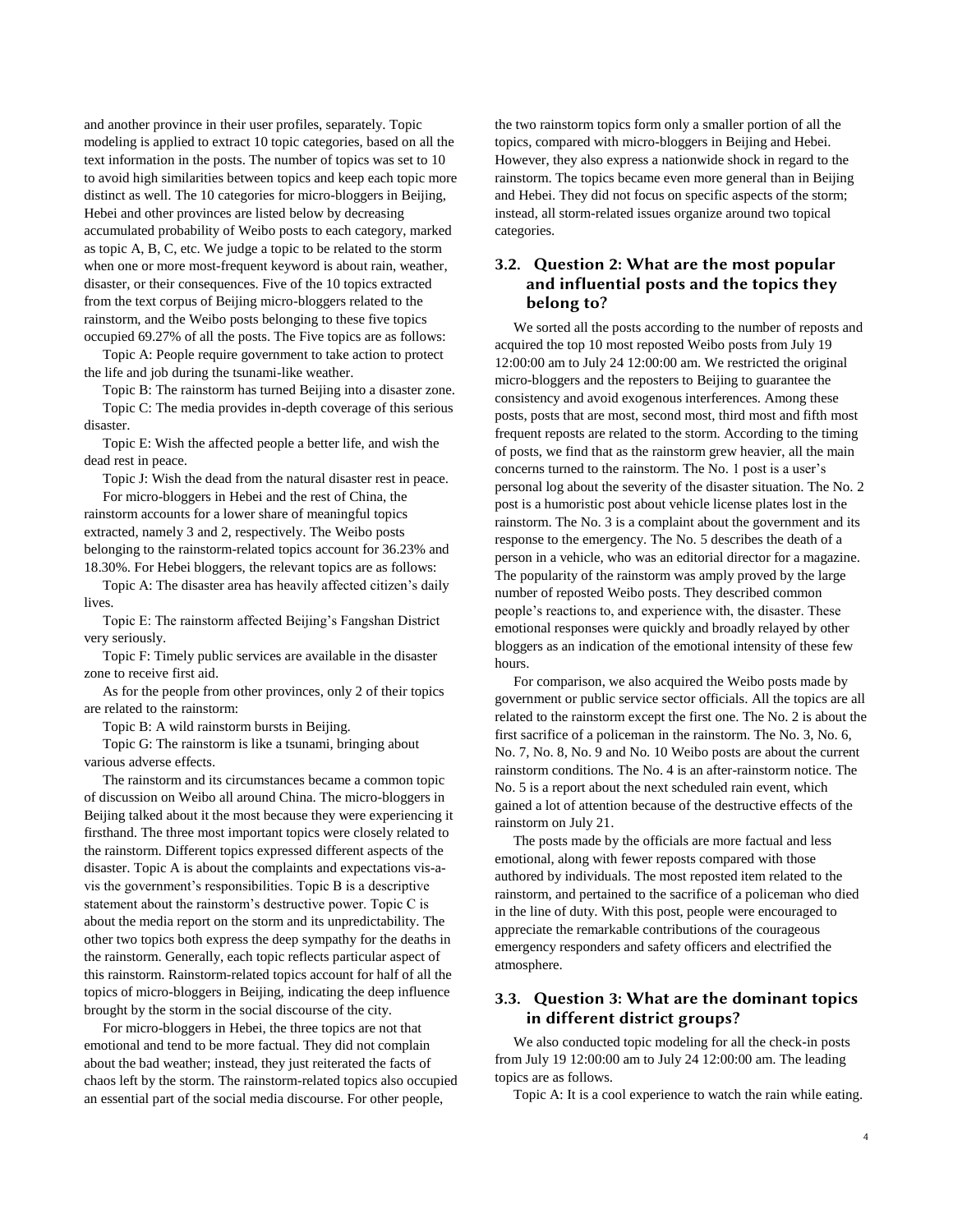and another province in their user profiles, separately. Topic modeling is applied to extract 10 topic categories, based on all the text information in the posts. The number of topics was set to 10 to avoid high similarities between topics and keep each topic more distinct as well. The 10 categories for micro-bloggers in Beijing, Hebei and other provinces are listed below by decreasing accumulated probability of Weibo posts to each category, marked as topic A, B, C, etc. We judge a topic to be related to the storm when one or more most-frequent keyword is about rain, weather, disaster, or their consequences. Five of the 10 topics extracted from the text corpus of Beijing micro-bloggers related to the rainstorm, and the Weibo posts belonging to these five topics occupied 69.27% of all the posts. The Five topics are as follows:

Topic A: People require government to take action to protect the life and job during the tsunami-like weather.

Topic B: The rainstorm has turned Beijing into a disaster zone. Topic C: The media provides in-depth coverage of this serious disaster.

Topic E: Wish the affected people a better life, and wish the dead rest in peace.

Topic J: Wish the dead from the natural disaster rest in peace.

For micro-bloggers in Hebei and the rest of China, the rainstorm accounts for a lower share of meaningful topics extracted, namely 3 and 2, respectively. The Weibo posts belonging to the rainstorm-related topics account for 36.23% and 18.30%. For Hebei bloggers, the relevant topics are as follows:

Topic A: The disaster area has heavily affected citizen's daily lives.

Topic E: The rainstorm affected Beijing's Fangshan District very seriously.

Topic F: Timely public services are available in the disaster zone to receive first aid.

As for the people from other provinces, only 2 of their topics are related to the rainstorm:

Topic B: A wild rainstorm bursts in Beijing.

Topic G: The rainstorm is like a tsunami, bringing about various adverse effects.

The rainstorm and its circumstances became a common topic of discussion on Weibo all around China. The micro-bloggers in Beijing talked about it the most because they were experiencing it firsthand. The three most important topics were closely related to the rainstorm. Different topics expressed different aspects of the disaster. Topic A is about the complaints and expectations vis-avis the government's responsibilities. Topic B is a descriptive statement about the rainstorm's destructive power. Topic C is about the media report on the storm and its unpredictability. The other two topics both express the deep sympathy for the deaths in the rainstorm. Generally, each topic reflects particular aspect of this rainstorm. Rainstorm-related topics account for half of all the topics of micro-bloggers in Beijing, indicating the deep influence brought by the storm in the social discourse of the city.

For micro-bloggers in Hebei, the three topics are not that emotional and tend to be more factual. They did not complain about the bad weather; instead, they just reiterated the facts of chaos left by the storm. The rainstorm-related topics also occupied an essential part of the social media discourse. For other people,

the two rainstorm topics form only a smaller portion of all the topics, compared with micro-bloggers in Beijing and Hebei. However, they also express a nationwide shock in regard to the rainstorm. The topics became even more general than in Beijing and Hebei. They did not focus on specific aspects of the storm; instead, all storm-related issues organize around two topical categories.

# 3.2. Question 2: What are the most popular and influential posts and the topics they belong to?

We sorted all the posts according to the number of reposts and acquired the top 10 most reposted Weibo posts from July 19 12:00:00 am to July 24 12:00:00 am. We restricted the original micro-bloggers and the reposters to Beijing to guarantee the consistency and avoid exogenous interferences. Among these posts, posts that are most, second most, third most and fifth most frequent reposts are related to the storm. According to the timing of posts, we find that as the rainstorm grew heavier, all the main concerns turned to the rainstorm. The No. 1 post is a user's personal log about the severity of the disaster situation. The No. 2 post is a humoristic post about vehicle license plates lost in the rainstorm. The No. 3 is a complaint about the government and its response to the emergency. The No. 5 describes the death of a person in a vehicle, who was an editorial director for a magazine. The popularity of the rainstorm was amply proved by the large number of reposted Weibo posts. They described common people's reactions to, and experience with, the disaster. These emotional responses were quickly and broadly relayed by other bloggers as an indication of the emotional intensity of these few hours.

For comparison, we also acquired the Weibo posts made by government or public service sector officials. All the topics are all related to the rainstorm except the first one. The No. 2 is about the first sacrifice of a policeman in the rainstorm. The No. 3, No. 6, No. 7, No. 8, No. 9 and No. 10 Weibo posts are about the current rainstorm conditions. The No. 4 is an after-rainstorm notice. The No. 5 is a report about the next scheduled rain event, which gained a lot of attention because of the destructive effects of the rainstorm on July 21.

The posts made by the officials are more factual and less emotional, along with fewer reposts compared with those authored by individuals. The most reposted item related to the rainstorm, and pertained to the sacrifice of a policeman who died in the line of duty. With this post, people were encouraged to appreciate the remarkable contributions of the courageous emergency responders and safety officers and electrified the atmosphere.

## 3.3. Question 3: What are the dominant topics in different district groups?

We also conducted topic modeling for all the check-in posts from July 19 12:00:00 am to July 24 12:00:00 am. The leading topics are as follows.

Topic A: It is a cool experience to watch the rain while eating.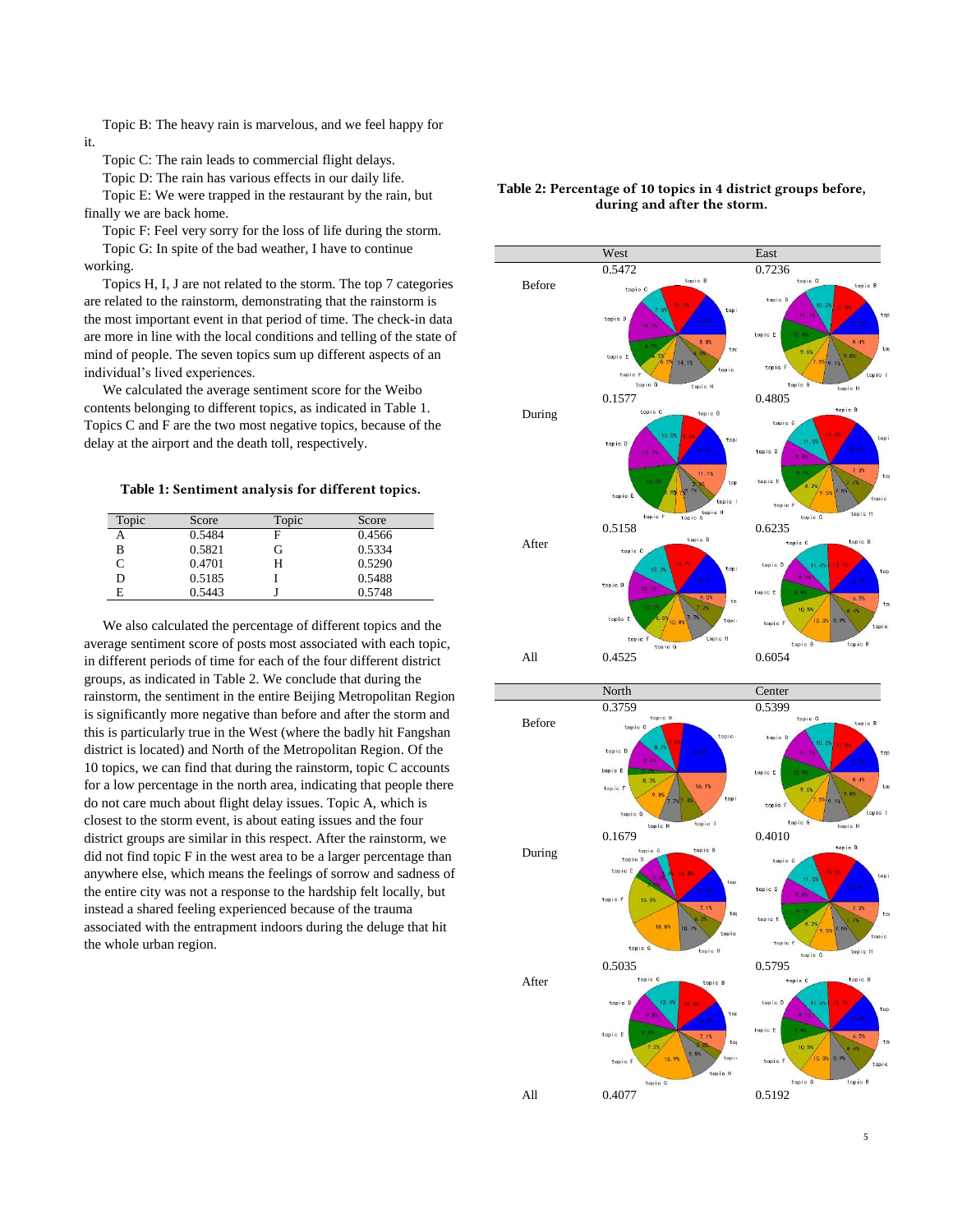Topic B: The heavy rain is marvelous, and we feel happy for it.

Topic C: The rain leads to commercial flight delays.

Topic D: The rain has various effects in our daily life. Topic E: We were trapped in the restaurant by the rain, but finally we are back home.

Topic F: Feel very sorry for the loss of life during the storm. Topic G: In spite of the bad weather, I have to continue working.

Topics H, I, J are not related to the storm. The top 7 categories are related to the rainstorm, demonstrating that the rainstorm is the most important event in that period of time. The check-in data are more in line with the local conditions and telling of the state of mind of people. The seven topics sum up different aspects of an individual's lived experiences.

We calculated the average sentiment score for the Weibo contents belonging to different topics, as indicated in Table 1. Topics C and F are the two most negative topics, because of the delay at the airport and the death toll, respectively.

**Table 1:** Sentiment analysis for different topics.

| Topic | Score  | Topic | Score  |
|-------|--------|-------|--------|
|       | 0.5484 |       | 0.4566 |
| в     | 0.5821 | G     | 0.5334 |
|       | 0.4701 | Н     | 0.5290 |
|       | 0.5185 |       | 0.5488 |
| E     | 0.5443 |       | 0.5748 |

We also calculated the percentage of different topics and the average sentiment score of posts most associated with each topic, in different periods of time for each of the four different district groups, as indicated in Table 2. We conclude that during the rainstorm, the sentiment in the entire Beijing Metropolitan Region is significantly more negative than before and after the storm and this is particularly true in the West (where the badly hit Fangshan district is located) and North of the Metropolitan Region. Of the 10 topics, we can find that during the rainstorm, topic C accounts for a low percentage in the north area, indicating that people there do not care much about flight delay issues. Topic A, which is closest to the storm event, is about eating issues and the four district groups are similar in this respect. After the rainstorm, we did not find topic F in the west area to be a larger percentage than anywhere else, which means the feelings of sorrow and sadness of the entire city was not a response to the hardship felt locally, but instead a shared feeling experienced because of the trauma associated with the entrapment indoors during the deluge that hit the whole urban region.

#### **Table 2:** Percentage of 10 topics in 4 district groups before, during and after the storm.

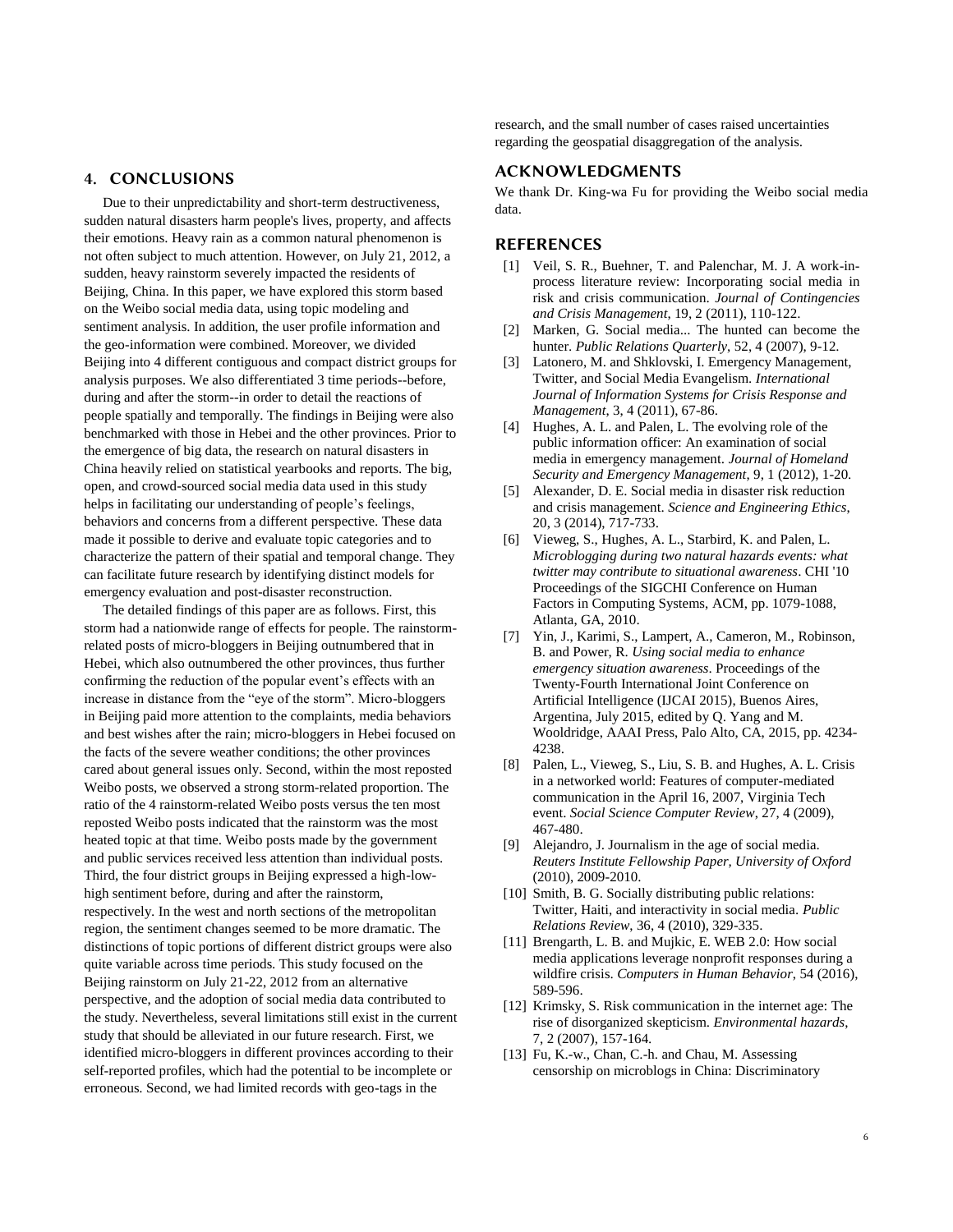## 4. CONCLUSIONS

Due to their unpredictability and short-term destructiveness, sudden natural disasters harm people's lives, property, and affects their emotions. Heavy rain as a common natural phenomenon is not often subject to much attention. However, on July 21, 2012, a sudden, heavy rainstorm severely impacted the residents of Beijing, China. In this paper, we have explored this storm based on the Weibo social media data, using topic modeling and sentiment analysis. In addition, the user profile information and the geo-information were combined. Moreover, we divided Beijing into 4 different contiguous and compact district groups for analysis purposes. We also differentiated 3 time periods--before, during and after the storm--in order to detail the reactions of people spatially and temporally. The findings in Beijing were also benchmarked with those in Hebei and the other provinces. Prior to the emergence of big data, the research on natural disasters in China heavily relied on statistical yearbooks and reports. The big, open, and crowd-sourced social media data used in this study helps in facilitating our understanding of people's feelings, behaviors and concerns from a different perspective. These data made it possible to derive and evaluate topic categories and to characterize the pattern of their spatial and temporal change. They can facilitate future research by identifying distinct models for emergency evaluation and post-disaster reconstruction.

The detailed findings of this paper are as follows. First, this storm had a nationwide range of effects for people. The rainstormrelated posts of micro-bloggers in Beijing outnumbered that in Hebei, which also outnumbered the other provinces, thus further confirming the reduction of the popular event's effects with an increase in distance from the "eye of the storm". Micro-bloggers in Beijing paid more attention to the complaints, media behaviors and best wishes after the rain; micro-bloggers in Hebei focused on the facts of the severe weather conditions; the other provinces cared about general issues only. Second, within the most reposted Weibo posts, we observed a strong storm-related proportion. The ratio of the 4 rainstorm-related Weibo posts versus the ten most reposted Weibo posts indicated that the rainstorm was the most heated topic at that time. Weibo posts made by the government and public services received less attention than individual posts. Third, the four district groups in Beijing expressed a high-lowhigh sentiment before, during and after the rainstorm, respectively. In the west and north sections of the metropolitan region, the sentiment changes seemed to be more dramatic. The distinctions of topic portions of different district groups were also quite variable across time periods. This study focused on the Beijing rainstorm on July 21-22, 2012 from an alternative perspective, and the adoption of social media data contributed to the study. Nevertheless, several limitations still exist in the current study that should be alleviated in our future research. First, we identified micro-bloggers in different provinces according to their self-reported profiles, which had the potential to be incomplete or erroneous. Second, we had limited records with geo-tags in the

research, and the small number of cases raised uncertainties regarding the geospatial disaggregation of the analysis.

#### ACKNOWLEDGMENTS

We thank Dr. King-wa Fu for providing the Weibo social media data.

## **REFERENCES**

- [1] Veil, S. R., Buehner, T. and Palenchar, M. J. A work‐in‐ process literature review: Incorporating social media in risk and crisis communication. *Journal of Contingencies and Crisis Management*, 19, 2 (2011), 110-122.
- [2] Marken, G. Social media... The hunted can become the hunter. *Public Relations Quarterly*, 52, 4 (2007), 9-12.
- [3] Latonero, M. and Shklovski, I. Emergency Management, Twitter, and Social Media Evangelism. *International Journal of Information Systems for Crisis Response and Management*, 3, 4 (2011), 67-86.
- [4] Hughes, A. L. and Palen, L. The evolving role of the public information officer: An examination of social media in emergency management. *Journal of Homeland Security and Emergency Management*, 9, 1 (2012), 1-20.
- [5] Alexander, D. E. Social media in disaster risk reduction and crisis management. *Science and Engineering Ethics*, 20, 3 (2014), 717-733.
- [6] Vieweg, S., Hughes, A. L., Starbird, K. and Palen, L. *Microblogging during two natural hazards events: what twitter may contribute to situational awareness*. CHI '10 Proceedings of the SIGCHI Conference on Human Factors in Computing Systems, ACM, pp. 1079-1088, Atlanta, GA, 2010.
- [7] Yin, J., Karimi, S., Lampert, A., Cameron, M., Robinson, B. and Power, R. *Using social media to enhance emergency situation awareness*. Proceedings of the Twenty-Fourth International Joint Conference on Artificial Intelligence (IJCAI 2015), Buenos Aires, Argentina, July 2015, edited by Q. Yang and M. Wooldridge, AAAI Press, Palo Alto, CA, 2015, pp. 4234- 4238.
- [8] Palen, L., Vieweg, S., Liu, S. B. and Hughes, A. L. Crisis in a networked world: Features of computer-mediated communication in the April 16, 2007, Virginia Tech event. *Social Science Computer Review*, 27, 4 (2009), 467-480.
- [9] Alejandro, J. Journalism in the age of social media. *Reuters Institute Fellowship Paper, University of Oxford* (2010), 2009-2010.
- [10] Smith, B. G. Socially distributing public relations: Twitter, Haiti, and interactivity in social media. *Public Relations Review*, 36, 4 (2010), 329-335.
- [11] Brengarth, L. B. and Mujkic, E. WEB 2.0: How social media applications leverage nonprofit responses during a wildfire crisis. *Computers in Human Behavior*, 54 (2016), 589-596.
- [12] Krimsky, S. Risk communication in the internet age: The rise of disorganized skepticism. *Environmental hazards*, 7, 2 (2007), 157-164.
- [13] Fu, K.-w., Chan, C.-h. and Chau, M. Assessing censorship on microblogs in China: Discriminatory